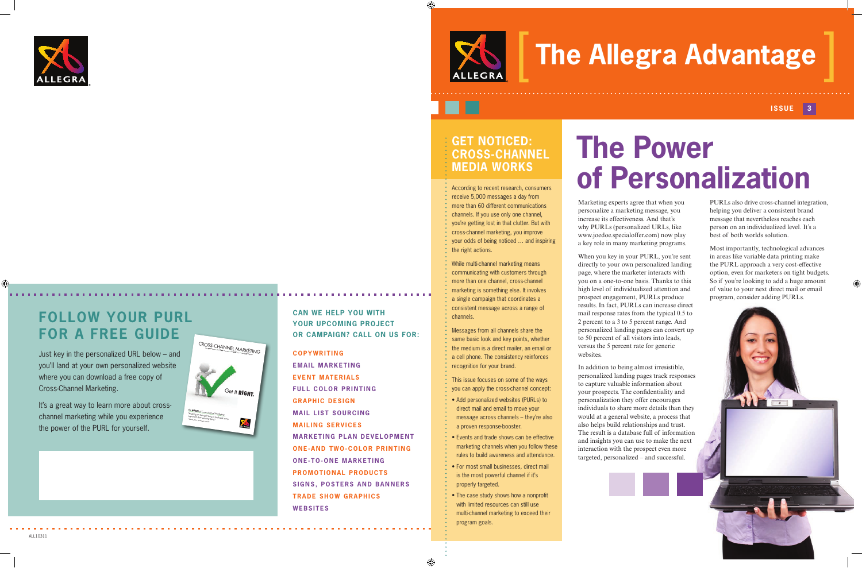Marketing experts agree that when you personalize a marketing message, you increase its effectiveness. And that's why PURLs (personalized URLs, like www.joedoe.specialoffer.com) now play a key role in many marketing programs.

When you key in your PURL, you're sent directly to your own personalized landing page, where the marketer interacts with you on a one-to-one basis. Thanks to this high level of individualized attention and prospect engagement, PURLs produce results. In fact, PURLs can increase direct mail response rates from the typical 0.5 to 2 percent to a 3 to 5 percent range. And personalized landing pages can convert up to 50 percent of all visitors into leads, versus the 5 percent rate for generic websites.

In addition to being almost irresistible, personalized landing pages track responses to capture valuable information about your prospects. The confidentiality and personalization they offer encourages individuals to share more details than they would at a general website, a process that also helps build relationships and trust. The result is a database full of information and insights you can use to make the next interaction with the prospect even more targeted, personalized – and successful.

ALL10311

€

**COPYWRITING EMAIL MARKETING EVENT MATERIALS FULL COLOR PRINTING GRAPHIC DESIGN MAIL LIST SOURCING MAILING SERVICES MARKETING PLAN DEVELOPMENT ONE-AND TWO-COLOR PRINTING ONE-TO-ONE MARKETING PROMOTIONAL PRODUCTS SIGNS, POSTERS AND BANNERS TRADE SHOW GRAPHICS WEBSITES**

### **CAN WE HELP YOU WITH YOUR UPCOMING PROJECT OR CAMPAIGN? CALL ON US FOR:**

# **The Allegra Advantage**

### **Issue 3**

# **The Power of Personalization**

PURLs also drive cross-channel integration, helping you deliver a consistent brand message that nevertheless reaches each person on an individualized level. It's a best of both worlds solution.

Most importantly, technological advances in areas like variable data printing make the PURL approach a very cost-effective option, even for marketers on tight budgets. So if you're looking to add a huge amount of value to your next direct mail or email program, consider adding PURLs.

### **Get Noticed: Cross-Channel Media Works**

According to recent research, consumers receive 5,000 messages a day from more than 60 different communications channels. If you use only one channel, you're getting lost in that clutter. But with cross-channel marketing, you improve your odds of being noticed … and inspiring the right actions.

While multi-channel marketing means communicating with customers through more than one channel, cross-channel marketing is something else. It involves a single campaign that coordinates a consistent message across a range of channels.

Messages from all channels share the same basic look and key points, whether the medium is a direct mailer, an email or a cell phone. The consistency reinforces recognition for your brand.

This issue focuses on some of the ways you can apply the cross-channel concept:

- Add personalized websites (PURLs) to direct mail and email to move your message across channels – they're also a proven response-booster.
- Events and trade shows can be effective marketing channels when you follow these rules to build awareness and attendance.
- For most small businesses, direct mail is the most powerful channel if it's properly targeted.
- The case study shows how a nonprofit with limited resources can still use multi-channel marketing to exceed their program goals.

♠



## **Follow Your PURL For a Free Guide**

Just key in the personalized URL below – and you'll land at your own personalized website where you can download a free copy of Cross-Channel Marketing.

It's a great way to learn more about crosschannel marketing while you experience the power of the PURL for yourself.